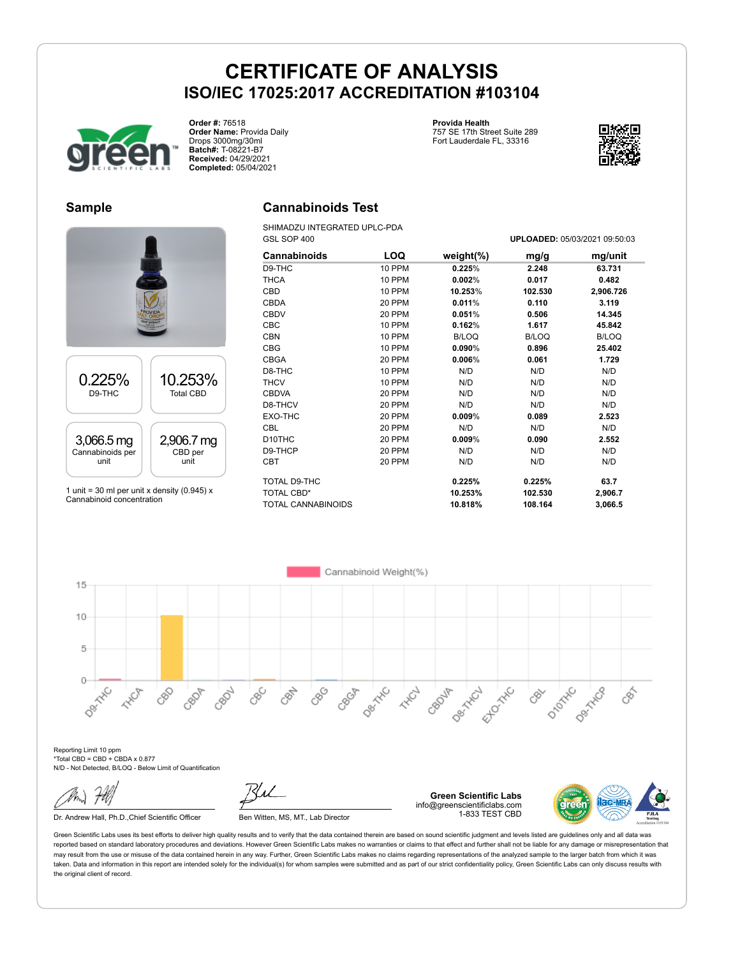

**Order #:** 76518 **Order Name:** Provida Daily Drops 3000mg/30ml **Batch#:** T-08221-B7 **Received:** 04/29/2021 **Completed:** 05/04/2021

**Provida Health**

757 SE 17th Street Suite 289 Fort Lauderdale FL, 33316



#### **Sample**

# 0.225% D9-THC 10.253% Total CBD 3,066.5 mg Cannabinoids per unit 2,906.7 mg CBD per unit 1 unit = 30 ml per unit x density (0.945)  $x$

Cannabinoid concentration

### **Cannabinoids Test**

SHIMADZU INTEGRATED UPLC-PDA GSL SOP 400 **UPLOADED:** 05/03/2021 09:50:03

| <b>Cannabinoids</b> | LOQ    | weight $(\%)$ | mg/g         | mg/unit      |
|---------------------|--------|---------------|--------------|--------------|
| D9-THC              | 10 PPM | 0.225%        | 2.248        | 63.731       |
| <b>THCA</b>         | 10 PPM | 0.002%        | 0.017        | 0.482        |
| CBD                 | 10 PPM | 10.253%       | 102.530      | 2,906.726    |
| <b>CBDA</b>         | 20 PPM | 0.011%        | 0.110        | 3.119        |
| <b>CBDV</b>         | 20 PPM | 0.051%        | 0.506        | 14.345       |
| <b>CBC</b>          | 10 PPM | 0.162%        | 1.617        | 45.842       |
| <b>CBN</b>          | 10 PPM | <b>B/LOQ</b>  | <b>B/LOQ</b> | <b>B/LOQ</b> |
| <b>CBG</b>          | 10 PPM | $0.090\%$     | 0.896        | 25.402       |
| <b>CBGA</b>         | 20 PPM | 0.006%        | 0.061        | 1.729        |
| D8-THC              | 10 PPM | N/D           | N/D          | N/D          |
| <b>THCV</b>         | 10 PPM | N/D           | N/D          | N/D          |
| <b>CBDVA</b>        | 20 PPM | N/D           | N/D          | N/D          |
| D8-THCV             | 20 PPM | N/D           | N/D          | N/D          |
| EXO-THC             | 20 PPM | 0.009%        | 0.089        | 2.523        |
| <b>CBL</b>          | 20 PPM | N/D           | N/D          | N/D          |
| D <sub>10</sub> THC | 20 PPM | 0.009%        | 0.090        | 2.552        |
| D9-THCP             | 20 PPM | N/D           | N/D          | N/D          |
| <b>CBT</b>          | 20 PPM | N/D           | N/D          | N/D          |
| TOTAL D9-THC        |        | 0.225%        | 0.225%       | 63.7         |
| <b>TOTAL CBD*</b>   |        | 10.253%       | 102.530      | 2,906.7      |
| TOTAL CANNABINOIDS  |        | 10.818%       | 108.164      | 3,066.5      |

Cannabinoid Weight(%) 15  $10$ 5  $\circ$ Dec Tric Desired Desitive **Desired** CRAY 890 Ellowski DIDOXNO CRO2L CBC CBGA CBOJA **HIST** 88 CBOP **HARCH** CRY CBS

Reporting Limit 10 ppm \*Total CBD = CBD + CBDA x 0.877 N/D - Not Detected, B/LOQ - Below Limit of Quantification

Dr. Andrew Hall, Ph.D., Chief Scientific Officer Ben Witten, MS, MT., Lab Director

**Green Scientific Labs** info@greenscientificlabs.com 1-833 TEST CBD

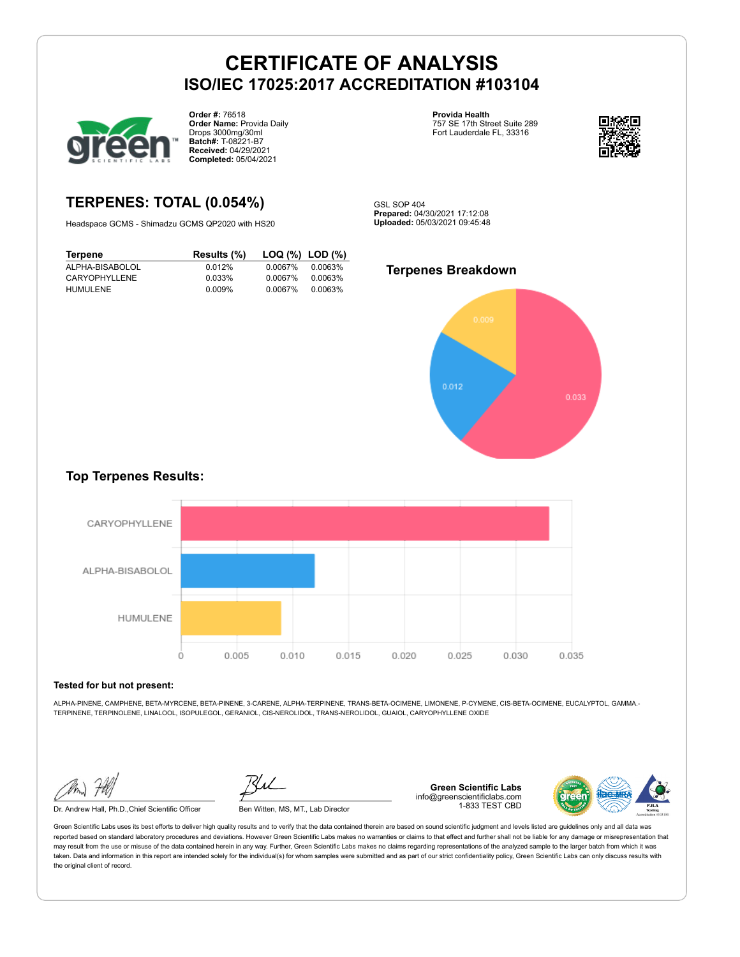

**Order #:** 76518 **Order Name:** Provida Daily Drops 3000mg/30ml **Batch#:** T-08221-B7 **Received:** 04/29/2021 **Completed:** 05/04/2021

**Provida Health** 757 SE 17th Street Suite 289 Fort Lauderdale FL, 33316



### **TERPENES: TOTAL (0.054%)**

Headspace GCMS - Shimadzu GCMS QP2020 with HS20

| Terpene         | Results (%) | $\textsf{LOQ}$ (%) $\textsf{LOD}$ (%) |         |
|-----------------|-------------|---------------------------------------|---------|
| ALPHA-BISABOLOL | 0.012%      | 0.0067%                               | 0.0063% |
| CARYOPHYLLENE   | 0.033%      | 0.0067%                               | 0.0063% |
| <b>HUMULENE</b> | 0.009%      | 0.0067%                               | 0.0063% |

GSL SOP 404 **Prepared:** 04/30/2021 17:12:08 **Uploaded:** 05/03/2021 09:45:48

#### **Terpenes Breakdown**



### **Top Terpenes Results:**



#### **Tested for but not present:**

ALPHA-PINENE, CAMPHENE, BETA-MYRCENE, BETA-PINENE, 3-CARENE, ALPHA-TERPINENE, TRANS-BETA-OCIMENE, LIMONENE, P-CYMENE, CIS-BETA-OCIMENE, EUCALYPTOL, GAMMA.- TERPINENE, TERPINOLENE, LINALOOL, ISOPULEGOL, GERANIOL, CIS-NEROLIDOL, TRANS-NEROLIDOL, GUAIOL, CARYOPHYLLENE OXIDE

Dr. Andrew Hall, Ph.D.,Chief Scientific Officer Ben Witten, MS, MT., Lab Director

**Green Scientific Labs** info@greenscientificlabs.com 1-833 TEST CBD

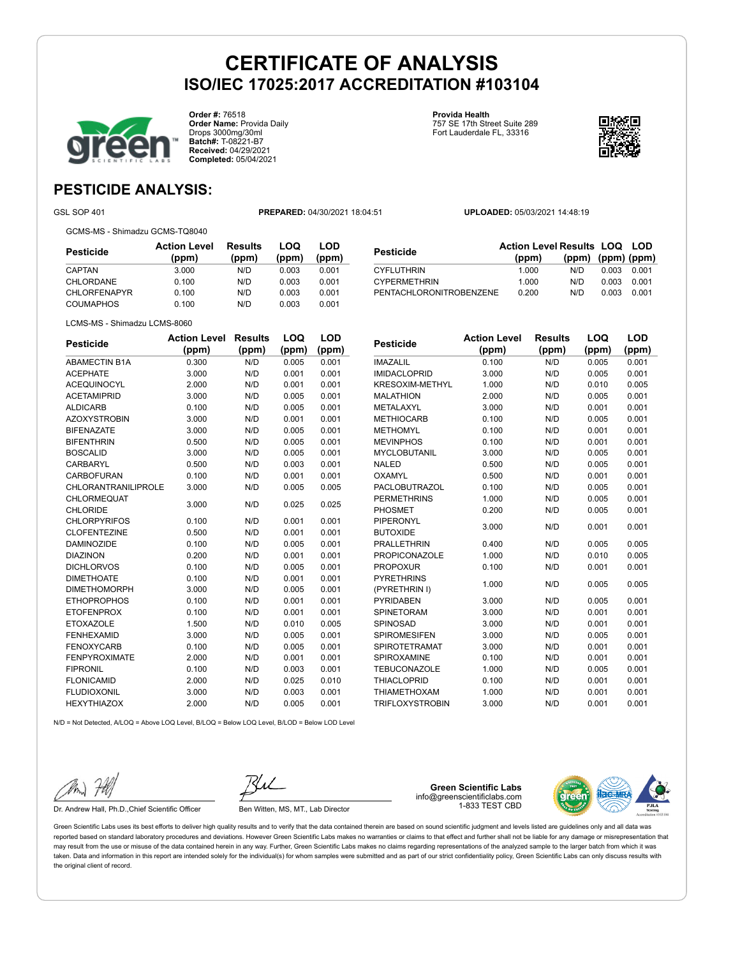

**Order #:** 76518 **Order Name:** Provida Daily Drops 3000mg/30ml **Batch#:** T-08221-B7 **Received:** 04/29/2021 **Completed:** 05/04/2021

**Provida Health** 757 SE 17th Street Suite 289 Fort Lauderdale FL, 33316



### **PESTICIDE ANALYSIS:**

GSL SOP 401 **PREPARED:** 04/30/2021 18:04:51 **UPLOADED:** 05/03/2021 14:48:19

GCMS-MS - Shimadzu GCMS-TQ8040

LCMS-MS - Shimadzu LCMS-8060

**Pesticide Action Level (ppm) Results (ppm) LOQ (ppm) LOD (ppm)** CAPTAN 3.000 N/D 0.003 0.001 CHLORDANE 0.100 N/D 0.003 0.001 CHLORFENAPYR 0.100 N/D 0.003 0.001 COUMAPHOS 0.100 N/D 0.003 0.001

| <b>Pesticide</b>     | <b>Action Level</b> | <b>Results</b> | LOQ   | LOD   |
|----------------------|---------------------|----------------|-------|-------|
|                      | (ppm)               | (ppm)          | (ppm) | (ppm) |
| <b>ABAMECTIN B1A</b> | 0.300               | N/D            | 0.005 | 0.001 |
| <b>ACEPHATE</b>      | 3.000               | N/D            | 0.001 | 0.001 |
| <b>ACEQUINOCYL</b>   | 2.000               | N/D            | 0.001 | 0.001 |
| <b>ACETAMIPRID</b>   | 3.000               | N/D            | 0.005 | 0.001 |
| <b>ALDICARB</b>      | 0.100               | N/D            | 0.005 | 0.001 |
| <b>AZOXYSTROBIN</b>  | 3.000               | N/D            | 0.001 | 0.001 |
| <b>BIFENAZATE</b>    | 3.000               | N/D            | 0.005 | 0.001 |
| <b>BIFENTHRIN</b>    | 0.500               | N/D            | 0.005 | 0.001 |
| <b>BOSCALID</b>      | 3.000               | N/D            | 0.005 | 0.001 |
| CARBARYL             | 0.500               | N/D            | 0.003 | 0.001 |
| CARBOFURAN           | 0.100               | N/D            | 0.001 | 0.001 |
| CHLORANTRANILIPROLE  | 3.000               | N/D            | 0.005 | 0.005 |
| <b>CHLORMEQUAT</b>   | 3.000               | N/D            | 0.025 | 0.025 |
| <b>CHLORIDE</b>      |                     |                |       |       |
| <b>CHLORPYRIFOS</b>  | 0.100               | N/D            | 0.001 | 0.001 |
| <b>CLOFENTEZINE</b>  | 0.500               | N/D            | 0.001 | 0.001 |
| <b>DAMINOZIDE</b>    | 0.100               | N/D            | 0.005 | 0.001 |
| <b>DIAZINON</b>      | 0.200               | N/D            | 0.001 | 0.001 |
| <b>DICHLORVOS</b>    | 0.100               | N/D            | 0.005 | 0.001 |
| <b>DIMETHOATE</b>    | 0.100               | N/D            | 0.001 | 0.001 |
| <b>DIMETHOMORPH</b>  | 3.000               | N/D            | 0.005 | 0.001 |
| <b>ETHOPROPHOS</b>   | 0.100               | N/D            | 0.001 | 0.001 |
| <b>ETOFENPROX</b>    | 0.100               | N/D            | 0.001 | 0.001 |
| <b>ETOXAZOLE</b>     | 1.500               | N/D            | 0.010 | 0.005 |
| <b>FENHEXAMID</b>    | 3.000               | N/D            | 0.005 | 0.001 |
| <b>FENOXYCARB</b>    | 0.100               | N/D            | 0.005 | 0.001 |
| <b>FENPYROXIMATE</b> | 2.000               | N/D            | 0.001 | 0.001 |
| <b>FIPRONIL</b>      | 0.100               | N/D            | 0.003 | 0.001 |
| <b>FLONICAMID</b>    | 2.000               | N/D            | 0.025 | 0.010 |
| <b>FLUDIOXONIL</b>   | 3.000               | N/D            | 0.003 | 0.001 |
| <b>HEXYTHIAZOX</b>   | 2.000               | N/D            | 0.005 | 0.001 |

| Pesticide               | <b>Action Level Results LOQ LOD</b> |                         |       |       |
|-------------------------|-------------------------------------|-------------------------|-------|-------|
|                         | (ppm)                               | $(ppm)$ $(ppm)$ $(ppm)$ |       |       |
| CYFLUTHRIN              | 1.000                               | N/D.                    | 0.003 | 0.001 |
| <b>CYPERMETHRIN</b>     | 1.000                               | N/D                     | 0.003 | 0.001 |
| PENTACHLORONITROBENZENE | 0.200                               | N/D                     | 0.003 | 0.001 |
|                         |                                     |                         |       |       |

| Pesticide                          | <b>Action Level</b><br>(ppm) | <b>Results</b><br>(ppm) | LOQ<br>(ppm) | LOD<br>(ppm) |
|------------------------------------|------------------------------|-------------------------|--------------|--------------|
| <b>IMAZALIL</b>                    | 0.100                        | N/D                     | 0.005        | 0.001        |
| <b>IMIDACLOPRID</b>                | 3.000                        | N/D                     | 0.005        | 0.001        |
| <b>KRESOXIM-METHYL</b>             | 1.000                        | N/D                     | 0.010        | 0.005        |
| <b>MALATHION</b>                   | 2.000                        | N/D                     | 0.005        | 0.001        |
| METALAXYL                          | 3.000                        | N/D                     | 0.001        | 0.001        |
| <b>METHIOCARB</b>                  | 0.100                        | N/D                     | 0.005        | 0.001        |
| <b>METHOMYL</b>                    | 0.100                        | N/D                     | 0.001        | 0.001        |
| <b>MEVINPHOS</b>                   | 0.100                        | N/D                     | 0.001        | 0.001        |
| <b>MYCLOBUTANIL</b>                | 3.000                        | N/D                     | 0.005        | 0.001        |
| <b>NALED</b>                       | 0.500                        | N/D                     | 0.005        | 0.001        |
| <b>OXAMYL</b>                      | 0.500                        | N/D                     | 0.001        | 0.001        |
| <b>PACLOBUTRAZOL</b>               | 0.100                        | N/D                     | 0.005        | 0.001        |
| <b>PERMETHRINS</b>                 | 1.000                        | N/D                     | 0.005        | 0.001        |
| <b>PHOSMET</b>                     | 0.200                        | N/D                     | 0.005        | 0.001        |
| PIPERONYL<br><b>BUTOXIDE</b>       | 3.000                        | N/D                     | 0.001        | 0.001        |
| <b>PRALLETHRIN</b>                 | 0.400                        | N/D                     | 0.005        | 0.005        |
| <b>PROPICONAZOLE</b>               | 1.000                        | N/D                     | 0.010        | 0.005        |
| <b>PROPOXUR</b>                    | 0.100                        | N/D                     | 0.001        | 0.001        |
| <b>PYRETHRINS</b><br>(PYRETHRIN I) | 1.000                        | N/D                     | 0.005        | 0.005        |
| PYRIDABEN                          | 3.000                        | N/D                     | 0.005        | 0.001        |
| <b>SPINETORAM</b>                  | 3.000                        | N/D                     | 0.001        | 0.001        |
| <b>SPINOSAD</b>                    | 3.000                        | N/D                     | 0.001        | 0.001        |
| <b>SPIROMESIFEN</b>                | 3.000                        | N/D                     | 0.005        | 0.001        |
| <b>SPIROTETRAMAT</b>               | 3.000                        | N/D                     | 0.001        | 0.001        |
| SPIROXAMINE                        | 0.100                        | N/D                     | 0.001        | 0.001        |
| <b>TEBUCONAZOLE</b>                | 1.000                        | N/D                     | 0.005        | 0.001        |
| <b>THIACLOPRID</b>                 | 0.100                        | N/D                     | 0.001        | 0.001        |
| <b>THIAMETHOXAM</b>                | 1.000                        | N/D                     | 0.001        | 0.001        |
| <b>TRIFLOXYSTROBIN</b>             | 3.000                        | N/D                     | 0.001        | 0.001        |

N/D = Not Detected, A/LOQ = Above LOQ Level, B/LOQ = Below LOQ Level, B/LOD = Below LOD Level

Dr. Andrew Hall, Ph.D., Chief Scientific Officer Ben Witten, MS, MT., Lab Director

**Green Scientific Labs** info@greenscientificlabs.com 1-833 TEST CBD

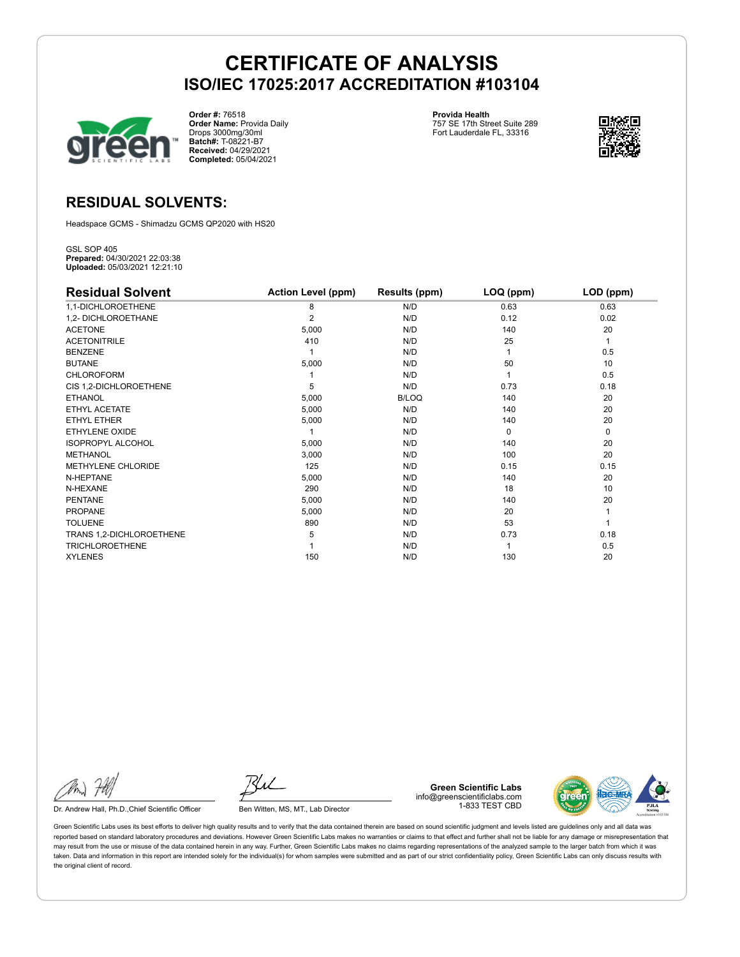

**Order #:** 76518 **Order Name:** Provida Daily Drops 3000mg/30ml **Batch#:** T-08221-B7 **Received:** 04/29/2021 **Completed:** 05/04/2021

**Provida Health** 757 SE 17th Street Suite 289 Fort Lauderdale FL, 33316



### **RESIDUAL SOLVENTS:**

Headspace GCMS - Shimadzu GCMS QP2020 with HS20

GSL SOP 405 **Prepared:** 04/30/2021 22:03:38 **Uploaded:** 05/03/2021 12:21:10

| <b>Residual Solvent</b>  | <b>Action Level (ppm)</b> | Results (ppm) | LOQ (ppm) | LOD (ppm) |
|--------------------------|---------------------------|---------------|-----------|-----------|
| 1,1-DICHLOROETHENE       | 8                         | N/D           | 0.63      | 0.63      |
| 1,2- DICHLOROETHANE      | 2                         | N/D           | 0.12      | 0.02      |
| <b>ACETONE</b>           | 5,000                     | N/D           | 140       | 20        |
| <b>ACETONITRILE</b>      | 410                       | N/D           | 25        | 1         |
| <b>BENZENE</b>           |                           | N/D           |           | 0.5       |
| <b>BUTANE</b>            | 5,000                     | N/D           | 50        | 10        |
| <b>CHLOROFORM</b>        |                           | N/D           |           | 0.5       |
| CIS 1,2-DICHLOROETHENE   | 5                         | N/D           | 0.73      | 0.18      |
| <b>ETHANOL</b>           | 5,000                     | B/LOQ         | 140       | 20        |
| ETHYL ACETATE            | 5,000                     | N/D           | 140       | 20        |
| <b>ETHYL ETHER</b>       | 5,000                     | N/D           | 140       | 20        |
| <b>ETHYLENE OXIDE</b>    |                           | N/D           | $\Omega$  | 0         |
| <b>ISOPROPYL ALCOHOL</b> | 5,000                     | N/D           | 140       | 20        |
| <b>METHANOL</b>          | 3,000                     | N/D           | 100       | 20        |
| METHYLENE CHLORIDE       | 125                       | N/D           | 0.15      | 0.15      |
| N-HEPTANE                | 5,000                     | N/D           | 140       | 20        |
| N-HEXANE                 | 290                       | N/D           | 18        | 10        |
| <b>PENTANE</b>           | 5,000                     | N/D           | 140       | 20        |
| <b>PROPANE</b>           | 5,000                     | N/D           | 20        |           |
| <b>TOLUENE</b>           | 890                       | N/D           | 53        |           |
| TRANS 1,2-DICHLOROETHENE | 5                         | N/D           | 0.73      | 0.18      |
| <b>TRICHLOROETHENE</b>   |                           | N/D           |           | 0.5       |
| <b>XYLENES</b>           | 150                       | N/D           | 130       | 20        |

Dr. Andrew Hall, Ph.D., Chief Scientific Officer Ben Witten, MS, MT., Lab Director

**Green Scientific Labs** info@greenscientificlabs.com 1-833 TEST CBD

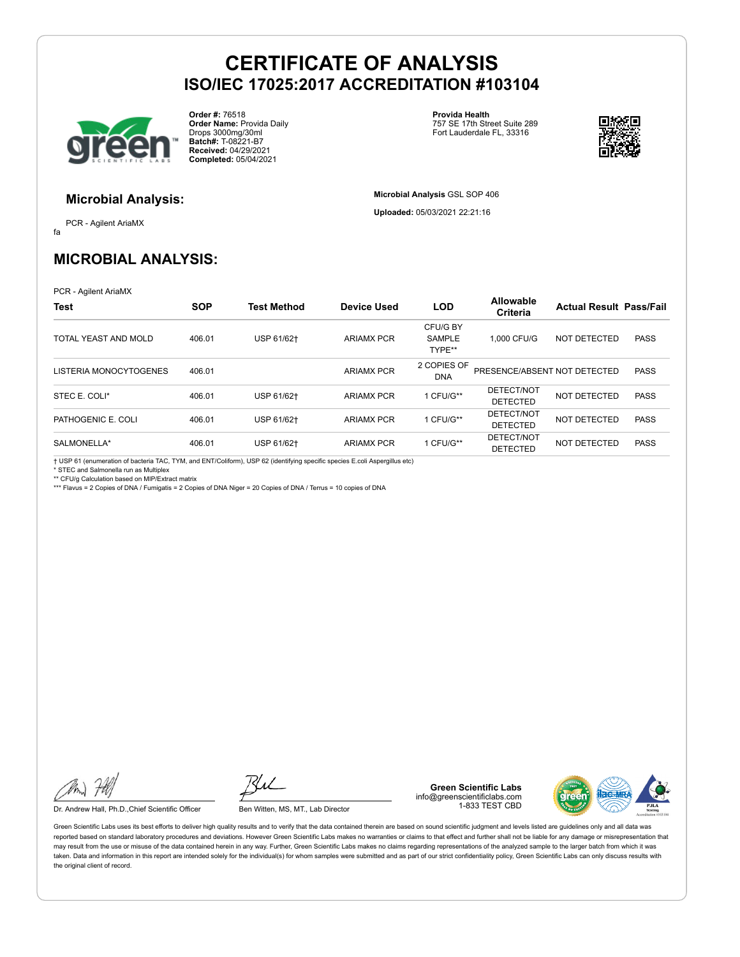

**Order #:** 76518 **Order Name:** Provida Daily Drops 3000mg/30ml **Batch#:** T-08221-B7 **Received:** 04/29/2021 **Completed:** 05/04/2021

**Provida Health** 757 SE 17th Street Suite 289 Fort Lauderdale FL, 33316



### **Microbial Analysis:**

fa PCR - Agilent AriaMX **Microbial Analysis** GSL SOP 406

**Uploaded:** 05/03/2021 22:21:16

### **MICROBIAL ANALYSIS:**

PCR - Agilent AriaMX

| <b>Test</b>            | <b>SOP</b> | <b>Test Method</b> | Device Used       | <b>LOD</b>                          | <b>Allowable</b><br>Criteria  | <b>Actual Result Pass/Fail</b> |             |
|------------------------|------------|--------------------|-------------------|-------------------------------------|-------------------------------|--------------------------------|-------------|
| TOTAL YEAST AND MOLD   | 406.01     | USP 61/62+         | <b>ARIAMX PCR</b> | CFU/G BY<br><b>SAMPLE</b><br>TYPE** | 1.000 CFU/G                   | NOT DETECTED                   | <b>PASS</b> |
| LISTERIA MONOCYTOGENES | 406.01     |                    | <b>ARIAMX PCR</b> | 2 COPIES OF<br><b>DNA</b>           | PRESENCE/ABSENT NOT DETECTED  |                                | <b>PASS</b> |
| STEC E. COLI*          | 406.01     | USP 61/62+         | <b>ARIAMX PCR</b> | 1 CFU/G**                           | DETECT/NOT<br><b>DETECTED</b> | NOT DETECTED                   | <b>PASS</b> |
| PATHOGENIC E. COLI     | 406.01     | USP 61/62+         | <b>ARIAMX PCR</b> | 1 CFU/G**                           | DETECT/NOT<br><b>DETECTED</b> | NOT DETECTED                   | <b>PASS</b> |
| SALMONELLA*            | 406.01     | USP 61/62+         | <b>ARIAMX PCR</b> | 1 CFU/G**                           | DETECT/NOT<br><b>DETECTED</b> | NOT DETECTED                   | <b>PASS</b> |

† USP 61 (enumeration of bacteria TAC, TYM, and ENT/Coliform), USP 62 (identifying specific species E.coli Aspergillus etc) \* STEC and Salmonella run as Multiplex

\*\* CFU/g Calculation based on MIP/Extract matrix

\*\*\* Flavus = 2 Copies of DNA / Fumigatis = 2 Copies of DNA Niger = 20 Copies of DNA / Terrus = 10 copies of DNA

Dr. Andrew Hall, Ph.D., Chief Scientific Officer Ben Witten, MS, MT., Lab Director

**Green Scientific Labs** info@greenscientificlabs.com 1-833 TEST CBD